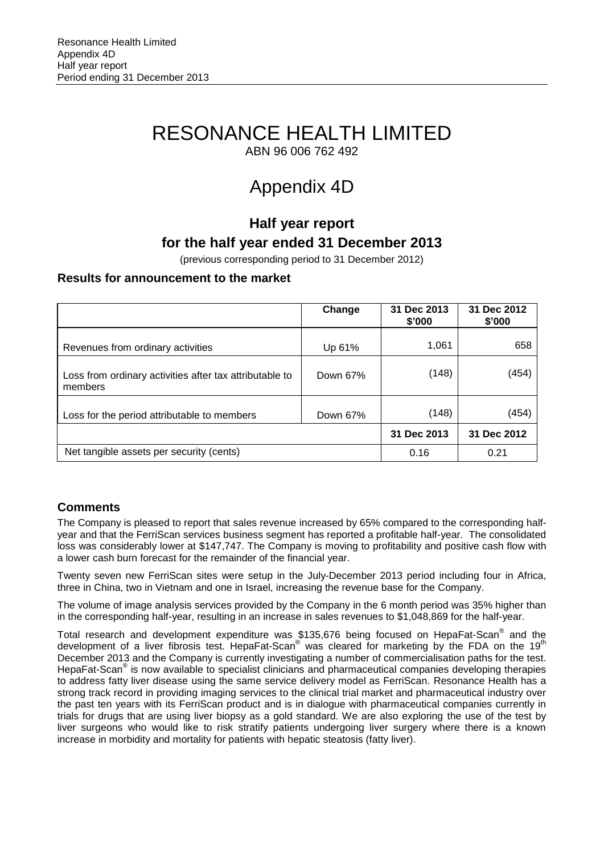# RESONANCE HEALTH LIMITED

ABN 96 006 762 492

# Appendix 4D

### **Half year report for the half year ended 31 December 2013**

(previous corresponding period to 31 December 2012)

### **Results for announcement to the market**

|                                                                    | Change   | 31 Dec 2013<br>\$'000 | 31 Dec 2012<br>\$'000 |
|--------------------------------------------------------------------|----------|-----------------------|-----------------------|
| Revenues from ordinary activities                                  | Up 61%   | 1,061                 | 658                   |
| Loss from ordinary activities after tax attributable to<br>members | Down 67% | (148)                 | (454)                 |
| Loss for the period attributable to members                        | Down 67% | (148)                 | (454)                 |
|                                                                    |          | 31 Dec 2013           | 31 Dec 2012           |
| Net tangible assets per security (cents)                           |          | 0.16                  | 0.21                  |

### **Comments**

The Company is pleased to report that sales revenue increased by 65% compared to the corresponding halfyear and that the FerriScan services business segment has reported a profitable half-year. The consolidated loss was considerably lower at \$147,747. The Company is moving to profitability and positive cash flow with a lower cash burn forecast for the remainder of the financial year.

Twenty seven new FerriScan sites were setup in the July-December 2013 period including four in Africa, three in China, two in Vietnam and one in Israel, increasing the revenue base for the Company.

The volume of image analysis services provided by the Company in the 6 month period was 35% higher than in the corresponding half-year, resulting in an increase in sales revenues to \$1,048,869 for the half-year.

Total research and development expenditure was \$135,676 being focused on HepaFat-Scan<sup>®</sup> and the development of a liver fibrosis test. HepaFat-Scan<sup>®</sup> was cleared for marketing by the FDA on the 19<sup>th</sup> December 2013 and the Company is currently investigating a number of commercialisation paths for the test. HepaFat-Scan<sup>®</sup> is now available to specialist clinicians and pharmaceutical companies developing therapies to address fatty liver disease using the same service delivery model as FerriScan. Resonance Health has a strong track record in providing imaging services to the clinical trial market and pharmaceutical industry over the past ten years with its FerriScan product and is in dialogue with pharmaceutical companies currently in trials for drugs that are using liver biopsy as a gold standard. We are also exploring the use of the test by liver surgeons who would like to risk stratify patients undergoing liver surgery where there is a known increase in morbidity and mortality for patients with hepatic steatosis (fatty liver).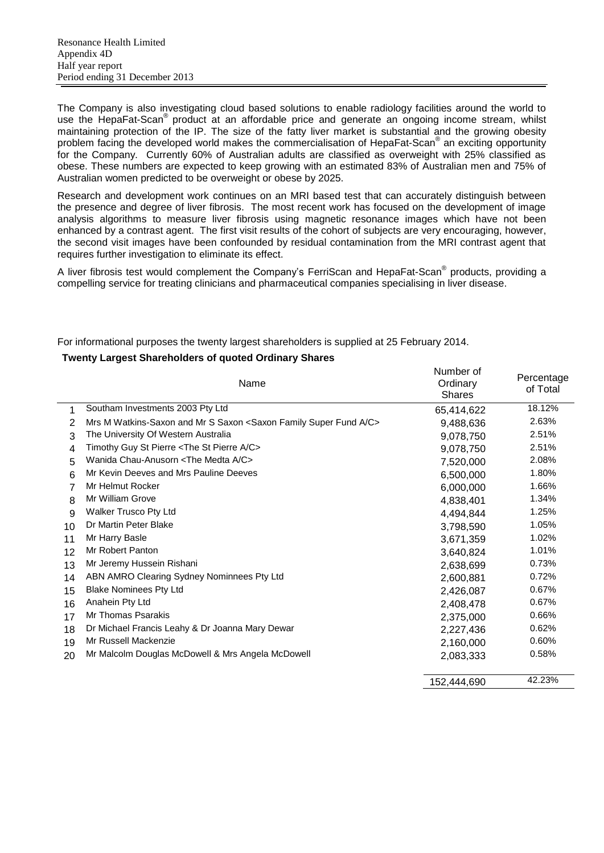The Company is also investigating cloud based solutions to enable radiology facilities around the world to use the HepaFat-Scan<sup>®</sup> product at an affordable price and generate an ongoing income stream, whilst maintaining protection of the IP. The size of the fatty liver market is substantial and the growing obesity problem facing the developed world makes the commercialisation of HepaFat-Scan® an exciting opportunity for the Company. Currently 60% of Australian adults are classified as overweight with 25% classified as obese. These numbers are expected to keep growing with an estimated 83% of Australian men and 75% of Australian women predicted to be overweight or obese by 2025.

Research and development work continues on an MRI based test that can accurately distinguish between the presence and degree of liver fibrosis. The most recent work has focused on the development of image analysis algorithms to measure liver fibrosis using magnetic resonance images which have not been enhanced by a contrast agent. The first visit results of the cohort of subjects are very encouraging, however, the second visit images have been confounded by residual contamination from the MRI contrast agent that requires further investigation to eliminate its effect.

A liver fibrosis test would complement the Company's FerriScan and HepaFat-Scan<sup>®</sup> products, providing a compelling service for treating clinicians and pharmaceutical companies specialising in liver disease.

For informational purposes the twenty largest shareholders is supplied at 25 February 2014.

### **Twenty Largest Shareholders of quoted Ordinary Shares**

|    | Name                                                                                    | Number of<br>Ordinary<br><b>Shares</b> | Percentage<br>of Total |
|----|-----------------------------------------------------------------------------------------|----------------------------------------|------------------------|
| 1  | Southam Investments 2003 Pty Ltd                                                        | 65,414,622                             | 18.12%                 |
| 2  | Mrs M Watkins-Saxon and Mr S Saxon <saxon a="" c="" family="" fund="" super=""></saxon> | 9,488,636                              | 2.63%                  |
| 3  | The University Of Western Australia                                                     | 9,078,750                              | 2.51%                  |
| 4  | Timothy Guy St Pierre <the a="" c="" pierre="" st=""></the>                             | 9,078,750                              | 2.51%                  |
| 5  | Wanida Chau-Anusorn <the a="" c="" medta=""></the>                                      | 7,520,000                              | 2.08%                  |
| 6  | Mr Kevin Deeves and Mrs Pauline Deeves                                                  | 6,500,000                              | 1.80%                  |
| 7  | Mr Helmut Rocker                                                                        | 6,000,000                              | 1.66%                  |
| 8  | Mr William Grove                                                                        | 4,838,401                              | 1.34%                  |
| 9  | <b>Walker Trusco Pty Ltd</b>                                                            | 4,494,844                              | 1.25%                  |
| 10 | Dr Martin Peter Blake                                                                   | 3,798,590                              | 1.05%                  |
| 11 | Mr Harry Basle                                                                          | 3,671,359                              | 1.02%                  |
| 12 | Mr Robert Panton                                                                        | 3,640,824                              | 1.01%                  |
| 13 | Mr Jeremy Hussein Rishani                                                               | 2,638,699                              | 0.73%                  |
| 14 | ABN AMRO Clearing Sydney Nominnees Pty Ltd                                              | 2,600,881                              | 0.72%                  |
| 15 | <b>Blake Nominees Pty Ltd</b>                                                           | 2,426,087                              | 0.67%                  |
| 16 | Anahein Pty Ltd                                                                         | 2,408,478                              | 0.67%                  |
| 17 | Mr Thomas Psarakis                                                                      | 2,375,000                              | 0.66%                  |
| 18 | Dr Michael Francis Leahy & Dr Joanna Mary Dewar                                         | 2,227,436                              | 0.62%                  |
| 19 | Mr Russell Mackenzie                                                                    | 2,160,000                              | 0.60%                  |
| 20 | Mr Malcolm Douglas McDowell & Mrs Angela McDowell                                       | 2,083,333                              | 0.58%                  |
|    |                                                                                         | 152,444,690                            | 42.23%                 |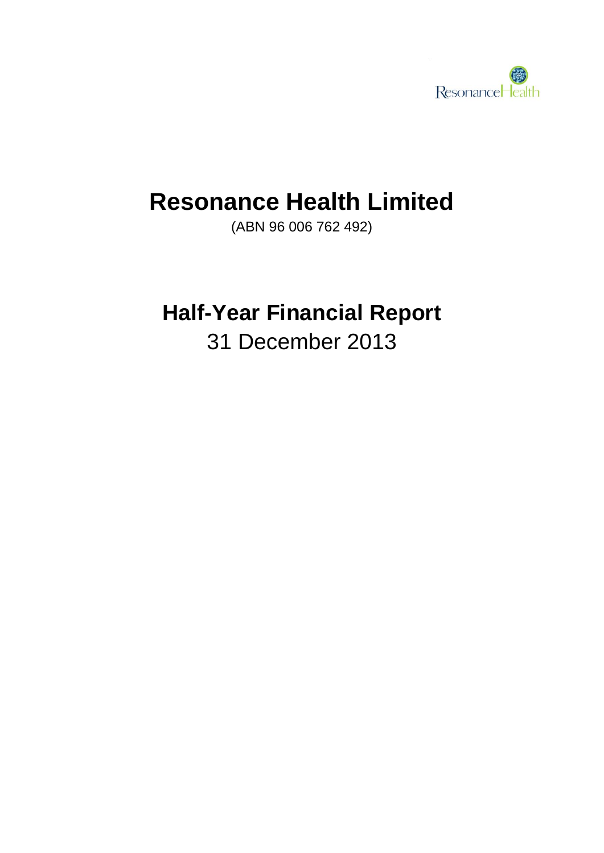

# **Resonance Health Limited**

(ABN 96 006 762 492)

# **Half-Year Financial Report**

31 December 2013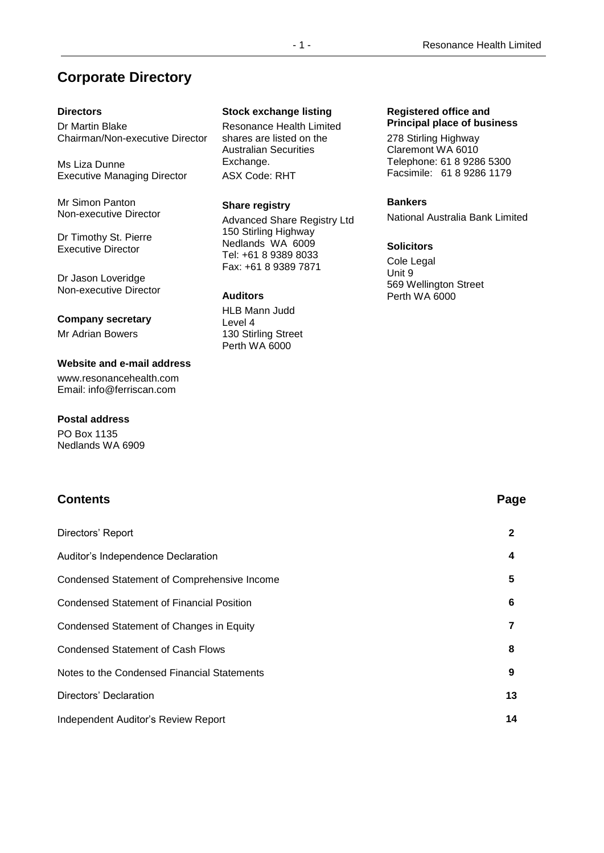### **Corporate Directory**

### **Directors**

Dr Martin Blake Chairman/Non-executive Director

Ms Liza Dunne Executive Managing Director

Mr Simon Panton Non-executive Director

Dr Timothy St. Pierre Executive Director

Dr Jason Loveridge Non-executive Director

### **Company secretary**

Mr Adrian Bowers

### **Website and e-mail address**

www.resonancehealth.com Email: info@ferriscan.com

### **Postal address**

PO Box 1135 Nedlands WA 6909

### **Contents Page**

## Directors' Report **2** Auditor's Independence Declaration **4** Condensed Statement of Comprehensive Income **5** Condensed Statement of Financial Position **6** Condensed Statement of Changes in Equity **7** Condensed Statement of Cash Flows **8** Notes to the Condensed Financial Statements **9** Directors' Declaration **13** Independent Auditor's Review Report **14**

### **Stock exchange listing**

Resonance Health Limited shares are listed on the Australian Securities Exchange. ASX Code: RHT

### **Share registry**

Advanced Share Registry Ltd 150 Stirling Highway Nedlands WA 6009 Tel: +61 8 9389 8033 Fax: +61 8 9389 7871

### **Auditors**

HLB Mann Judd Level 4 130 Stirling Street Perth WA 6000

### **Registered office and Principal place of business**

278 Stirling Highway Claremont WA 6010 Telephone: 61 8 9286 5300 Facsimile: 61 8 9286 1179

### **Bankers**

National Australia Bank Limited

### **Solicitors**

Cole Legal Unit 9 569 Wellington Street Perth WA 6000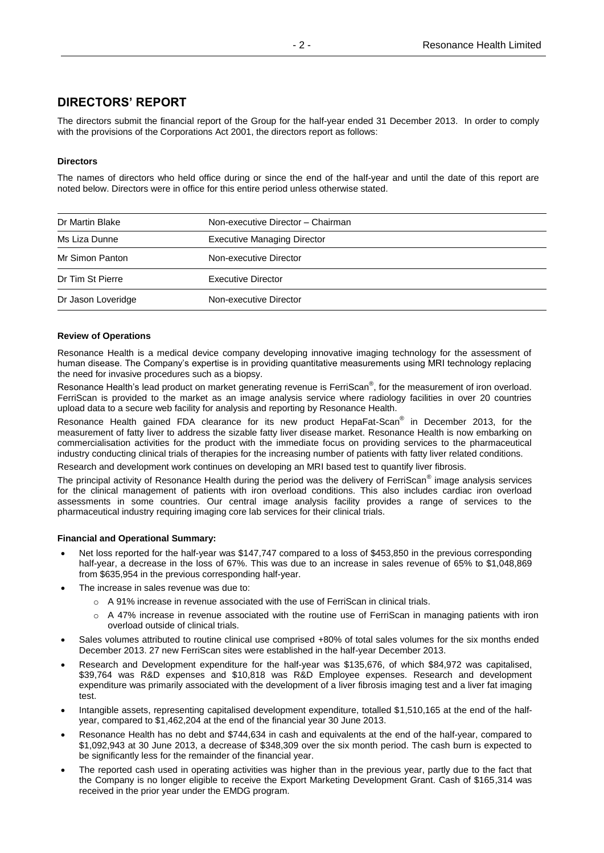### **DIRECTORS' REPORT**

The directors submit the financial report of the Group for the half-year ended 31 December 2013. In order to comply with the provisions of the Corporations Act 2001, the directors report as follows:

### **Directors**

The names of directors who held office during or since the end of the half-year and until the date of this report are noted below. Directors were in office for this entire period unless otherwise stated.

| Dr Martin Blake    | Non-executive Director - Chairman  |
|--------------------|------------------------------------|
| Ms Liza Dunne      | <b>Executive Managing Director</b> |
| Mr Simon Panton    | Non-executive Director             |
| Dr Tim St Pierre   | <b>Executive Director</b>          |
| Dr Jason Loveridge | Non-executive Director             |

### **Review of Operations**

Resonance Health is a medical device company developing innovative imaging technology for the assessment of human disease. The Company's expertise is in providing quantitative measurements using MRI technology replacing the need for invasive procedures such as a biopsy.

Resonance Health's lead product on market generating revenue is FerriScan®, for the measurement of iron overload. FerriScan is provided to the market as an image analysis service where radiology facilities in over 20 countries upload data to a secure web facility for analysis and reporting by Resonance Health.

Resonance Health gained FDA clearance for its new product HepaFat-Scan<sup>®</sup> in December 2013, for the measurement of fatty liver to address the sizable fatty liver disease market. Resonance Health is now embarking on commercialisation activities for the product with the immediate focus on providing services to the pharmaceutical industry conducting clinical trials of therapies for the increasing number of patients with fatty liver related conditions.

Research and development work continues on developing an MRI based test to quantify liver fibrosis.

The principal activity of Resonance Health during the period was the delivery of FerriScan<sup>®</sup> image analysis services for the clinical management of patients with iron overload conditions. This also includes cardiac iron overload assessments in some countries. Our central image analysis facility provides a range of services to the pharmaceutical industry requiring imaging core lab services for their clinical trials.

#### **Financial and Operational Summary:**

- Net loss reported for the half-year was \$147,747 compared to a loss of \$453,850 in the previous corresponding half-year, a decrease in the loss of 67%. This was due to an increase in sales revenue of 65% to \$1,048,869 from \$635,954 in the previous corresponding half-year.
- The increase in sales revenue was due to:
	- $\circ$  A 91% increase in revenue associated with the use of FerriScan in clinical trials.
	- o A 47% increase in revenue associated with the routine use of FerriScan in managing patients with iron overload outside of clinical trials.
- Sales volumes attributed to routine clinical use comprised +80% of total sales volumes for the six months ended December 2013. 27 new FerriScan sites were established in the half-year December 2013.
- Research and Development expenditure for the half-year was \$135,676, of which \$84,972 was capitalised, \$39,764 was R&D expenses and \$10,818 was R&D Employee expenses. Research and development expenditure was primarily associated with the development of a liver fibrosis imaging test and a liver fat imaging test.
- Intangible assets, representing capitalised development expenditure, totalled \$1,510,165 at the end of the halfyear, compared to \$1,462,204 at the end of the financial year 30 June 2013.
- Resonance Health has no debt and \$744,634 in cash and equivalents at the end of the half-year, compared to \$1,092,943 at 30 June 2013, a decrease of \$348,309 over the six month period. The cash burn is expected to be significantly less for the remainder of the financial year.
- The reported cash used in operating activities was higher than in the previous year, partly due to the fact that the Company is no longer eligible to receive the Export Marketing Development Grant. Cash of \$165,314 was received in the prior year under the EMDG program.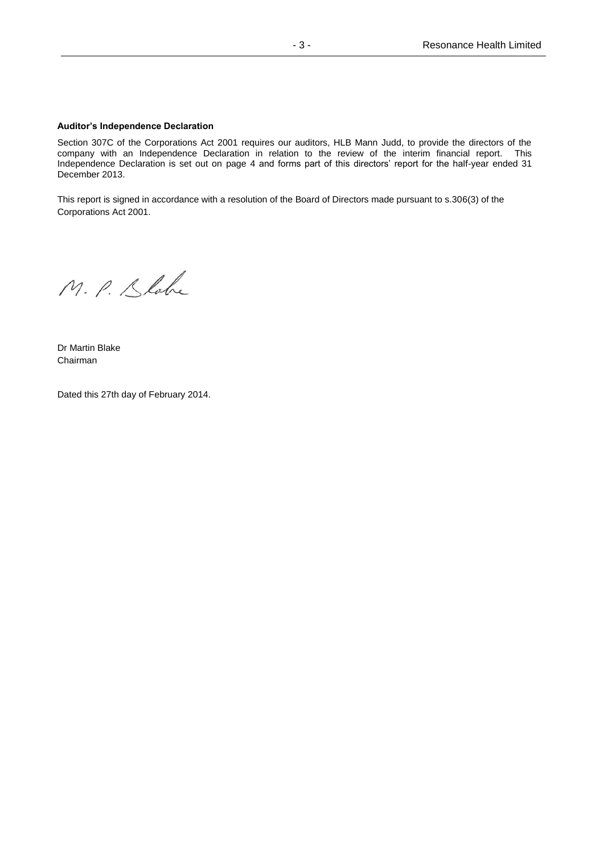### **Auditor's Independence Declaration**

Section 307C of the Corporations Act 2001 requires our auditors, HLB Mann Judd, to provide the directors of the company with an Independence Declaration in relation to the review of the interim financial report. This Independence Declaration is set out on page 4 and forms part of this directors' report for the half-year ended 31 December 2013.

This report is signed in accordance with a resolution of the Board of Directors made pursuant to s.306(3) of the Corporations Act 2001.

M. P. Slabe

Dr Martin Blake Chairman

Dated this 27th day of February 2014.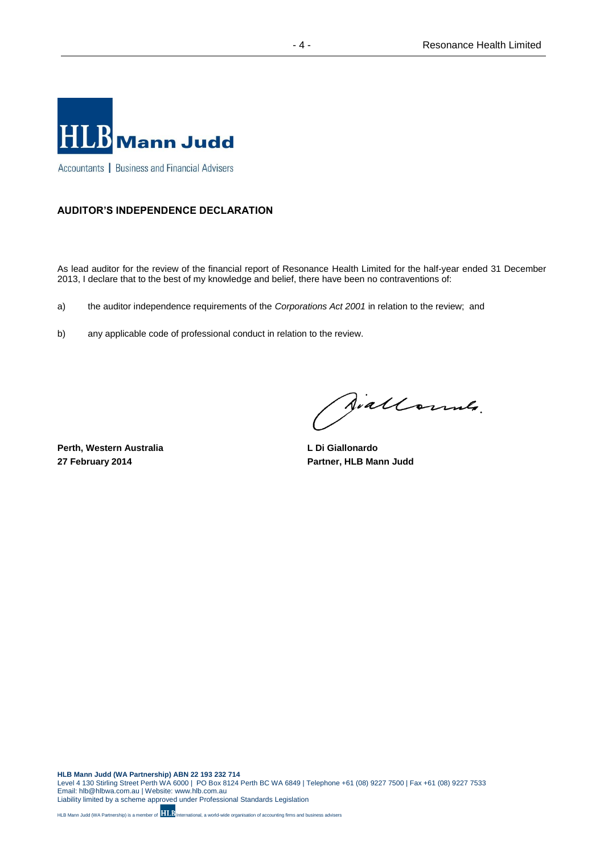

### **AUDITOR'S INDEPENDENCE DECLARATION**

As lead auditor for the review of the financial report of Resonance Health Limited for the half-year ended 31 December 2013, I declare that to the best of my knowledge and belief, there have been no contraventions of:

a) the auditor independence requirements of the *Corporations Act 2001* in relation to the review; and

b) any applicable code of professional conduct in relation to the review.

**Perth, Western Australia 27 February 2014**

Siallonnes.

**L Di Giallonardo Partner, HLB Mann Judd**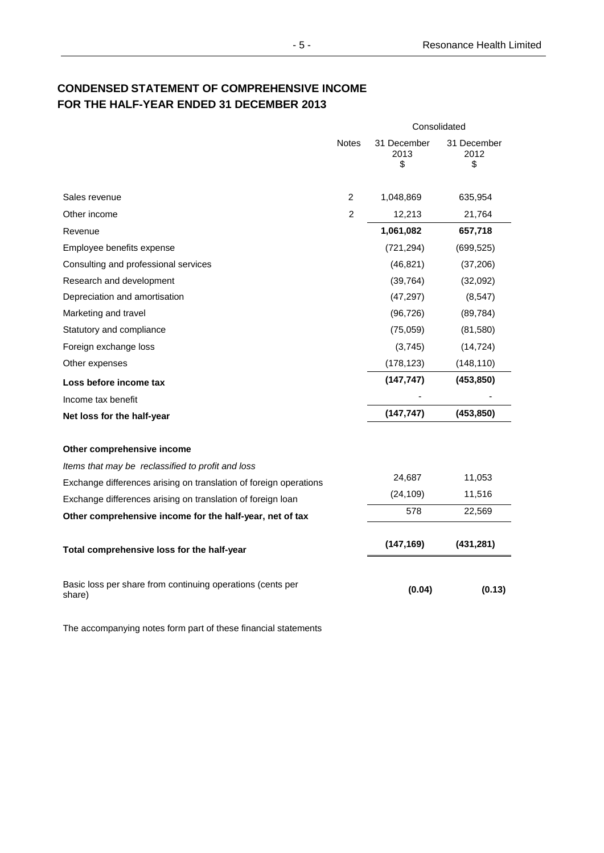### **CONDENSED STATEMENT OF COMPREHENSIVE INCOME FOR THE HALF-YEAR ENDED 31 DECEMBER 2013**

|                                                                      |                | Consolidated              |                           |
|----------------------------------------------------------------------|----------------|---------------------------|---------------------------|
|                                                                      | <b>Notes</b>   | 31 December<br>2013<br>\$ | 31 December<br>2012<br>\$ |
| Sales revenue                                                        | $\overline{2}$ | 1,048,869                 | 635,954                   |
| Other income                                                         | $\overline{c}$ | 12,213                    | 21,764                    |
| Revenue                                                              |                | 1,061,082                 | 657,718                   |
| Employee benefits expense                                            |                | (721, 294)                | (699, 525)                |
| Consulting and professional services                                 |                | (46, 821)                 | (37, 206)                 |
| Research and development                                             |                | (39, 764)                 | (32,092)                  |
| Depreciation and amortisation                                        |                | (47, 297)                 | (8, 547)                  |
| Marketing and travel                                                 |                | (96, 726)                 | (89, 784)                 |
| Statutory and compliance                                             |                | (75,059)                  | (81,580)                  |
| Foreign exchange loss                                                |                | (3,745)                   | (14, 724)                 |
| Other expenses                                                       |                | (178, 123)                | (148, 110)                |
| Loss before income tax                                               |                | (147, 747)                | (453, 850)                |
| Income tax benefit                                                   |                |                           |                           |
| Net loss for the half-year                                           |                | (147, 747)                | (453, 850)                |
| Other comprehensive income                                           |                |                           |                           |
| Items that may be reclassified to profit and loss                    |                |                           |                           |
| Exchange differences arising on translation of foreign operations    |                | 24,687                    | 11,053                    |
| Exchange differences arising on translation of foreign loan          |                | (24, 109)                 | 11,516                    |
| Other comprehensive income for the half-year, net of tax             |                | 578                       | 22,569                    |
| Total comprehensive loss for the half-year                           |                | (147, 169)                | (431, 281)                |
| Basic loss per share from continuing operations (cents per<br>share) |                | (0.04)                    | (0.13)                    |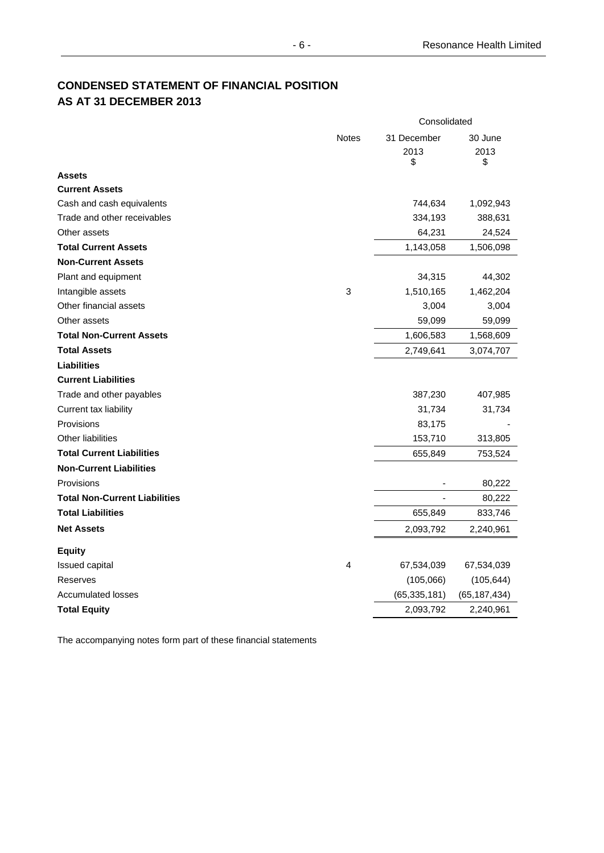### **CONDENSED STATEMENT OF FINANCIAL POSITION AS AT 31 DECEMBER 2013**

|                                                | Consolidated              |                       |
|------------------------------------------------|---------------------------|-----------------------|
| <b>Notes</b>                                   | 31 December<br>2013<br>\$ | 30 June<br>2013<br>\$ |
| <b>Assets</b>                                  |                           |                       |
| <b>Current Assets</b>                          |                           |                       |
| Cash and cash equivalents                      | 744,634                   | 1,092,943             |
| Trade and other receivables                    | 334,193                   | 388,631               |
| Other assets                                   | 64,231                    | 24,524                |
| <b>Total Current Assets</b>                    | 1,143,058                 | 1,506,098             |
| <b>Non-Current Assets</b>                      |                           |                       |
| Plant and equipment                            | 34,315                    | 44,302                |
| $\ensuremath{\mathsf{3}}$<br>Intangible assets | 1,510,165                 | 1,462,204             |
| Other financial assets                         | 3,004                     | 3,004                 |
| Other assets                                   | 59,099                    | 59,099                |
| <b>Total Non-Current Assets</b>                | 1,606,583                 | 1,568,609             |
| <b>Total Assets</b>                            | 2,749,641                 | 3,074,707             |
| <b>Liabilities</b>                             |                           |                       |
| <b>Current Liabilities</b>                     |                           |                       |
| Trade and other payables                       | 387,230                   | 407,985               |
| Current tax liability                          | 31,734                    | 31,734                |
| Provisions                                     | 83,175                    |                       |
| <b>Other liabilities</b>                       | 153,710                   | 313,805               |
| <b>Total Current Liabilities</b>               | 655,849                   | 753,524               |
| <b>Non-Current Liabilities</b>                 |                           |                       |
| Provisions                                     |                           | 80,222                |
| <b>Total Non-Current Liabilities</b>           |                           | 80,222                |
| <b>Total Liabilities</b>                       | 655,849                   | 833,746               |
| <b>Net Assets</b>                              | 2,093,792                 | 2,240,961             |
| <b>Equity</b>                                  |                           |                       |
| 4<br>Issued capital                            | 67,534,039                | 67,534,039            |
| Reserves                                       | (105,066)                 | (105, 644)            |
| <b>Accumulated losses</b>                      | (65, 335, 181)            | (65, 187, 434)        |
| <b>Total Equity</b>                            | 2,093,792                 | 2,240,961             |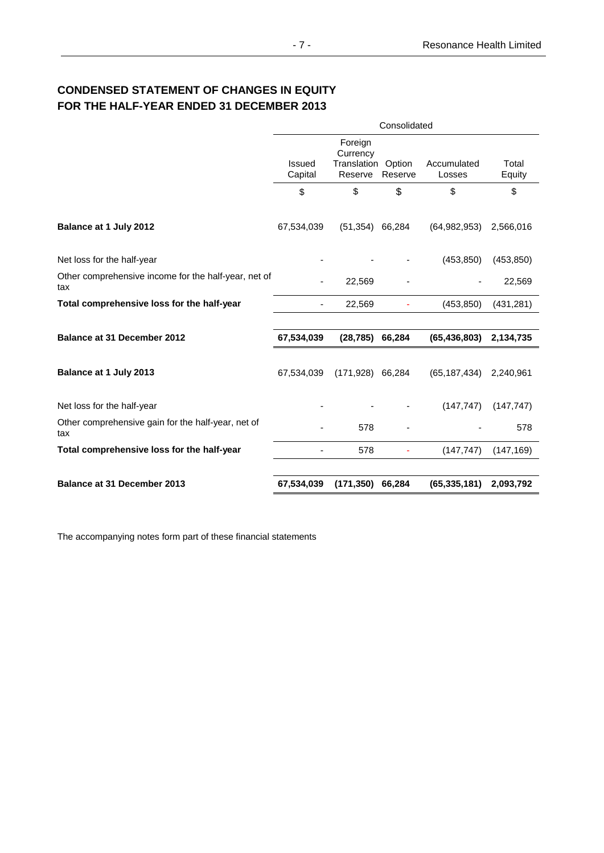### **CONDENSED STATEMENT OF CHANGES IN EQUITY FOR THE HALF-YEAR ENDED 31 DECEMBER 2013**

|                                                             | Consolidated      |                                                      |         |                       |                 |
|-------------------------------------------------------------|-------------------|------------------------------------------------------|---------|-----------------------|-----------------|
|                                                             | Issued<br>Capital | Foreign<br>Currency<br>Translation Option<br>Reserve | Reserve | Accumulated<br>Losses | Total<br>Equity |
|                                                             | \$                | \$                                                   | \$      | \$                    | \$              |
|                                                             |                   |                                                      |         |                       |                 |
| Balance at 1 July 2012                                      | 67,534,039        | (51, 354)                                            | 66,284  | (64, 982, 953)        | 2,566,016       |
| Net loss for the half-year                                  |                   |                                                      |         | (453, 850)            | (453, 850)      |
| Other comprehensive income for the half-year, net of<br>tax |                   | 22,569                                               |         |                       | 22,569          |
| Total comprehensive loss for the half-year                  |                   | 22,569                                               |         | (453, 850)            | (431, 281)      |
|                                                             |                   |                                                      |         |                       |                 |
| <b>Balance at 31 December 2012</b>                          | 67,534,039        | (28, 785)                                            | 66,284  | (65, 436, 803)        | 2,134,735       |
| Balance at 1 July 2013                                      | 67,534,039        | $(171,928)$ 66,284                                   |         | (65, 187, 434)        | 2,240,961       |
| Net loss for the half-year                                  |                   |                                                      |         | (147, 747)            | (147, 747)      |
| Other comprehensive gain for the half-year, net of<br>tax   |                   | 578                                                  |         |                       | 578             |
| Total comprehensive loss for the half-year                  |                   | 578                                                  |         | (147, 747)            | (147, 169)      |
|                                                             |                   |                                                      |         |                       |                 |
| <b>Balance at 31 December 2013</b>                          | 67,534,039        | (171, 350)                                           | 66,284  | (65, 335, 181)        | 2,093,792       |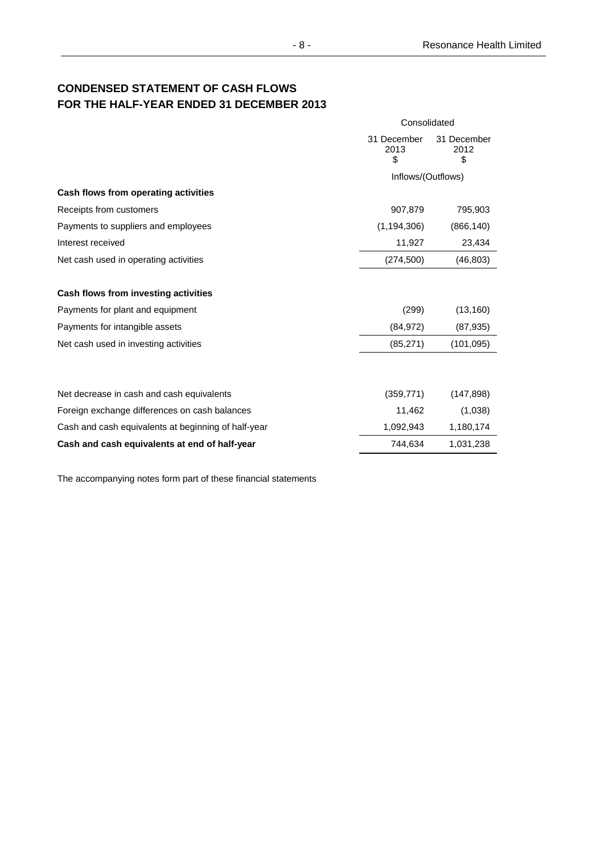### **CONDENSED STATEMENT OF CASH FLOWS FOR THE HALF-YEAR ENDED 31 DECEMBER 2013**

|                                                     | Consolidated              |                           |  |
|-----------------------------------------------------|---------------------------|---------------------------|--|
|                                                     | 31 December<br>2013<br>\$ | 31 December<br>2012<br>\$ |  |
|                                                     | Inflows/(Outflows)        |                           |  |
| Cash flows from operating activities                |                           |                           |  |
| Receipts from customers                             | 907,879                   | 795,903                   |  |
| Payments to suppliers and employees                 | (1, 194, 306)             | (866, 140)                |  |
| Interest received                                   | 11,927                    | 23,434                    |  |
| Net cash used in operating activities               | (274, 500)                | (46, 803)                 |  |
| Cash flows from investing activities                |                           |                           |  |
| Payments for plant and equipment                    | (299)                     | (13, 160)                 |  |
| Payments for intangible assets                      | (84, 972)                 | (87, 935)                 |  |
| Net cash used in investing activities               | (85, 271)                 | (101, 095)                |  |
|                                                     |                           |                           |  |
| Net decrease in cash and cash equivalents           | (359, 771)                | (147, 898)                |  |
| Foreign exchange differences on cash balances       | 11,462                    | (1,038)                   |  |
| Cash and cash equivalents at beginning of half-year | 1,092,943                 | 1,180,174                 |  |
| Cash and cash equivalents at end of half-year       | 744,634                   | 1,031,238                 |  |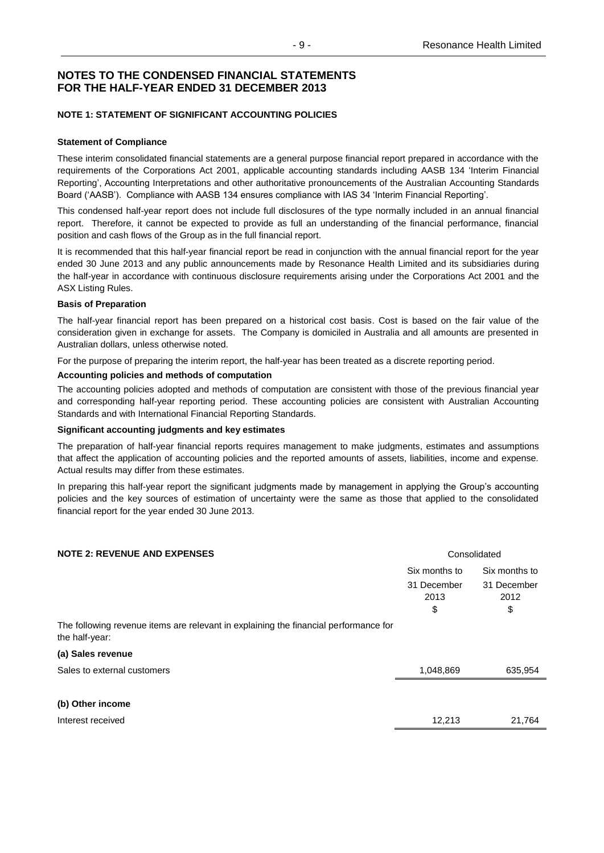### **NOTE 1: STATEMENT OF SIGNIFICANT ACCOUNTING POLICIES**

### **Statement of Compliance**

These interim consolidated financial statements are a general purpose financial report prepared in accordance with the requirements of the Corporations Act 2001, applicable accounting standards including AASB 134 'Interim Financial Reporting', Accounting Interpretations and other authoritative pronouncements of the Australian Accounting Standards Board ('AASB'). Compliance with AASB 134 ensures compliance with IAS 34 'Interim Financial Reporting'.

This condensed half-year report does not include full disclosures of the type normally included in an annual financial report. Therefore, it cannot be expected to provide as full an understanding of the financial performance, financial position and cash flows of the Group as in the full financial report.

It is recommended that this half-year financial report be read in conjunction with the annual financial report for the year ended 30 June 2013 and any public announcements made by Resonance Health Limited and its subsidiaries during the half-year in accordance with continuous disclosure requirements arising under the Corporations Act 2001 and the ASX Listing Rules.

### **Basis of Preparation**

The half-year financial report has been prepared on a historical cost basis. Cost is based on the fair value of the consideration given in exchange for assets. The Company is domiciled in Australia and all amounts are presented in Australian dollars, unless otherwise noted.

For the purpose of preparing the interim report, the half-year has been treated as a discrete reporting period.

### **Accounting policies and methods of computation**

The accounting policies adopted and methods of computation are consistent with those of the previous financial year and corresponding half-year reporting period. These accounting policies are consistent with Australian Accounting Standards and with International Financial Reporting Standards.

#### **Significant accounting judgments and key estimates**

The preparation of half-year financial reports requires management to make judgments, estimates and assumptions that affect the application of accounting policies and the reported amounts of assets, liabilities, income and expense. Actual results may differ from these estimates.

In preparing this half-year report the significant judgments made by management in applying the Group's accounting policies and the key sources of estimation of uncertainty were the same as those that applied to the consolidated financial report for the year ended 30 June 2013.

| <b>NOTE 2: REVENUE AND EXPENSES</b>                                                                    | Consolidated              |                           |  |
|--------------------------------------------------------------------------------------------------------|---------------------------|---------------------------|--|
|                                                                                                        | Six months to             | Six months to             |  |
|                                                                                                        | 31 December<br>2013<br>\$ | 31 December<br>2012<br>\$ |  |
| The following revenue items are relevant in explaining the financial performance for<br>the half-year: |                           |                           |  |
| (a) Sales revenue                                                                                      |                           |                           |  |
| Sales to external customers                                                                            | 1,048,869                 | 635,954                   |  |
| (b) Other income                                                                                       |                           |                           |  |
| Interest received                                                                                      | 12,213                    | 21,764                    |  |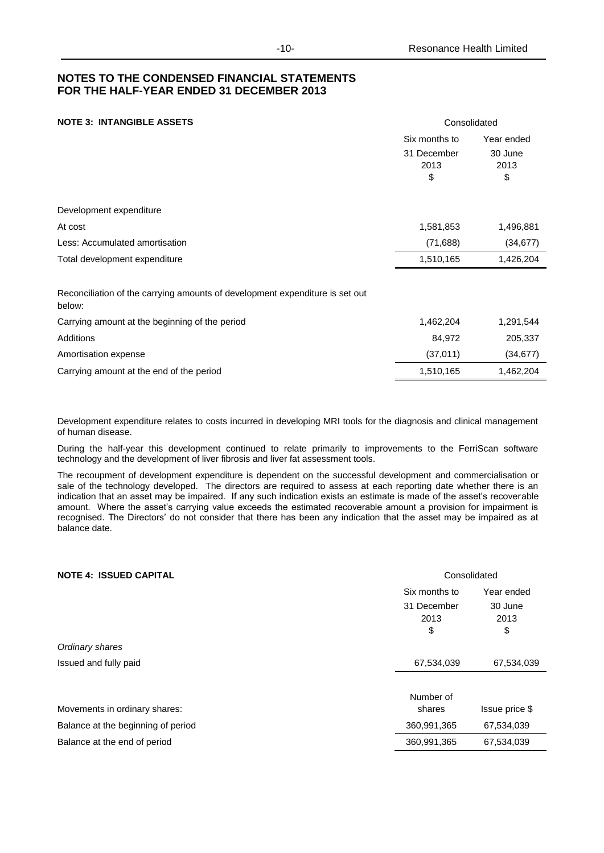### **NOTE 3: INTANGIBLE ASSETS** Consolidated

|                                                                                        | Six months to<br>31 December<br>2013<br>\$ | Year ended<br>30 June<br>2013<br>\$ |
|----------------------------------------------------------------------------------------|--------------------------------------------|-------------------------------------|
| Development expenditure                                                                |                                            |                                     |
| At cost                                                                                | 1,581,853                                  | 1,496,881                           |
| Less: Accumulated amortisation                                                         | (71, 688)                                  | (34, 677)                           |
| Total development expenditure                                                          | 1,510,165                                  | 1,426,204                           |
| Reconciliation of the carrying amounts of development expenditure is set out<br>below: |                                            |                                     |
| Carrying amount at the beginning of the period                                         | 1,462,204                                  | 1,291,544                           |

| barry annoam at tho boghmmig or tho ponoa | .         | .         |
|-------------------------------------------|-----------|-----------|
| Additions                                 | 84.972    | 205,337   |
| Amortisation expense                      | (37.011)  | (34.677)  |
| Carrying amount at the end of the period  | 1.510.165 | 1.462.204 |

Development expenditure relates to costs incurred in developing MRI tools for the diagnosis and clinical management of human disease.

During the half-year this development continued to relate primarily to improvements to the FerriScan software technology and the development of liver fibrosis and liver fat assessment tools.

The recoupment of development expenditure is dependent on the successful development and commercialisation or sale of the technology developed. The directors are required to assess at each reporting date whether there is an indication that an asset may be impaired. If any such indication exists an estimate is made of the asset's recoverable amount. Where the asset's carrying value exceeds the estimated recoverable amount a provision for impairment is recognised. The Directors' do not consider that there has been any indication that the asset may be impaired as at balance date.

| <b>NOTE 4: ISSUED CAPITAL</b>      | Consolidated              |                       |  |
|------------------------------------|---------------------------|-----------------------|--|
|                                    | Six months to             | Year ended            |  |
|                                    | 31 December<br>2013<br>\$ | 30 June<br>2013<br>\$ |  |
| Ordinary shares                    |                           |                       |  |
| Issued and fully paid              | 67,534,039                | 67,534,039            |  |
|                                    |                           |                       |  |
|                                    | Number of                 |                       |  |
| Movements in ordinary shares:      | shares                    | Issue price \$        |  |
| Balance at the beginning of period | 360,991,365               | 67,534,039            |  |
| Balance at the end of period       | 360,991,365               | 67,534,039            |  |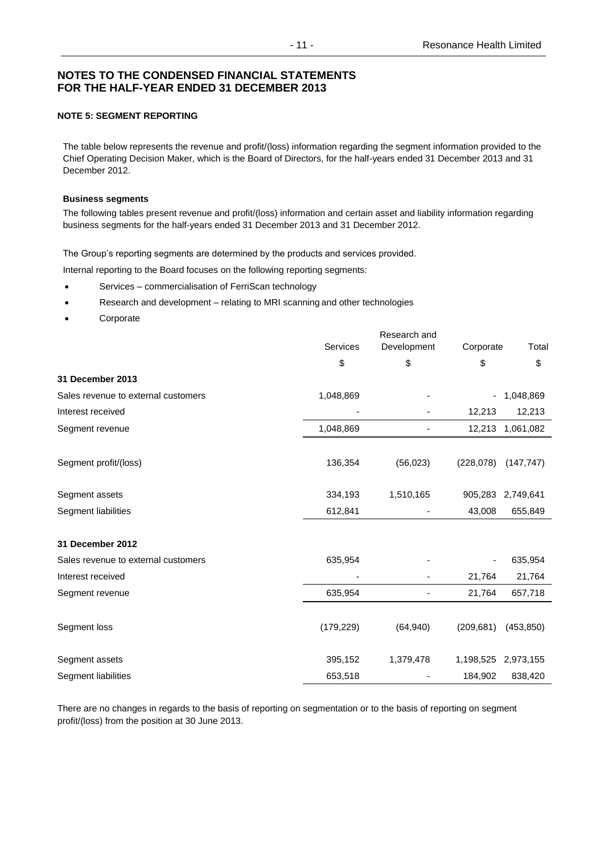### **NOTE 5: SEGMENT REPORTING**

The table below represents the revenue and profit/(loss) information regarding the segment information provided to the Chief Operating Decision Maker, which is the Board of Directors, for the half-years ended 31 December 2013 and 31 December 2012.

#### **Business segments**

The following tables present revenue and profit/(loss) information and certain asset and liability information regarding business segments for the half-years ended 31 December 2013 and 31 December 2012.

The Group's reporting segments are determined by the products and services provided.

Internal reporting to the Board focuses on the following reporting segments:

- Services commercialisation of FerriScan technology
- Research and development relating to MRI scanning and other technologies
- Corporate

|                                     |            | Research and |            |            |
|-------------------------------------|------------|--------------|------------|------------|
|                                     | Services   | Development  | Corporate  | Total      |
|                                     | \$         | \$           | \$         | \$         |
| 31 December 2013                    |            |              |            |            |
| Sales revenue to external customers | 1,048,869  |              |            | 1,048,869  |
| Interest received                   |            |              | 12,213     | 12,213     |
| Segment revenue                     | 1,048,869  | -            | 12,213     | 1,061,082  |
| Segment profit/(loss)               | 136,354    | (56, 023)    | (228, 078) | (147, 747) |
| Segment assets                      | 334,193    | 1,510,165    | 905,283    | 2,749,641  |
| Segment liabilities                 | 612,841    |              | 43,008     | 655,849    |
| 31 December 2012                    |            |              |            |            |
| Sales revenue to external customers | 635,954    |              |            | 635,954    |
| Interest received                   |            |              | 21,764     | 21,764     |
| Segment revenue                     | 635,954    |              | 21,764     | 657,718    |
| Segment loss                        | (179, 229) | (64, 940)    | (209, 681) | (453, 850) |
| Segment assets                      | 395,152    | 1,379,478    | 1,198,525  | 2,973,155  |
| Segment liabilities                 | 653,518    |              | 184,902    | 838,420    |

There are no changes in regards to the basis of reporting on segmentation or to the basis of reporting on segment profit/(loss) from the position at 30 June 2013.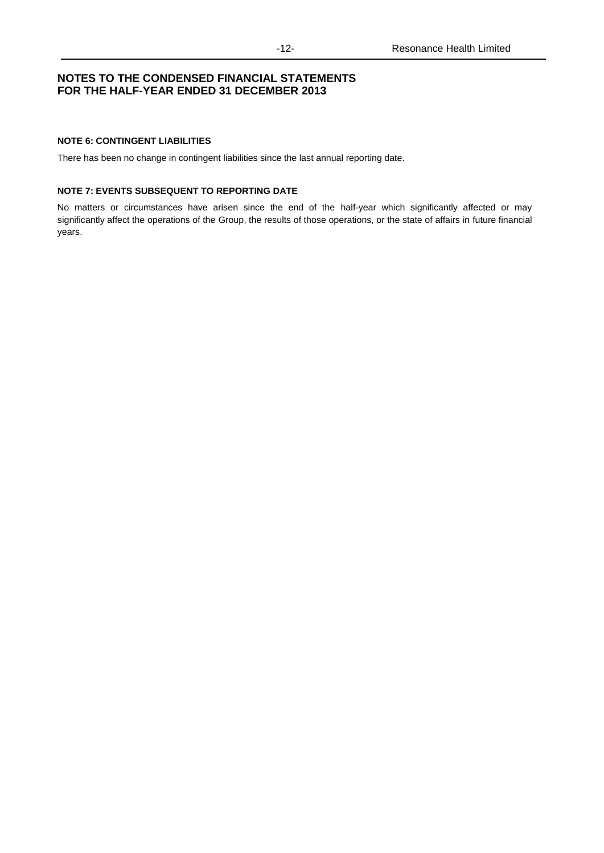### **NOTE 6: CONTINGENT LIABILITIES**

There has been no change in contingent liabilities since the last annual reporting date.

#### **NOTE 7: EVENTS SUBSEQUENT TO REPORTING DATE**

No matters or circumstances have arisen since the end of the half-year which significantly affected or may significantly affect the operations of the Group, the results of those operations, or the state of affairs in future financial years.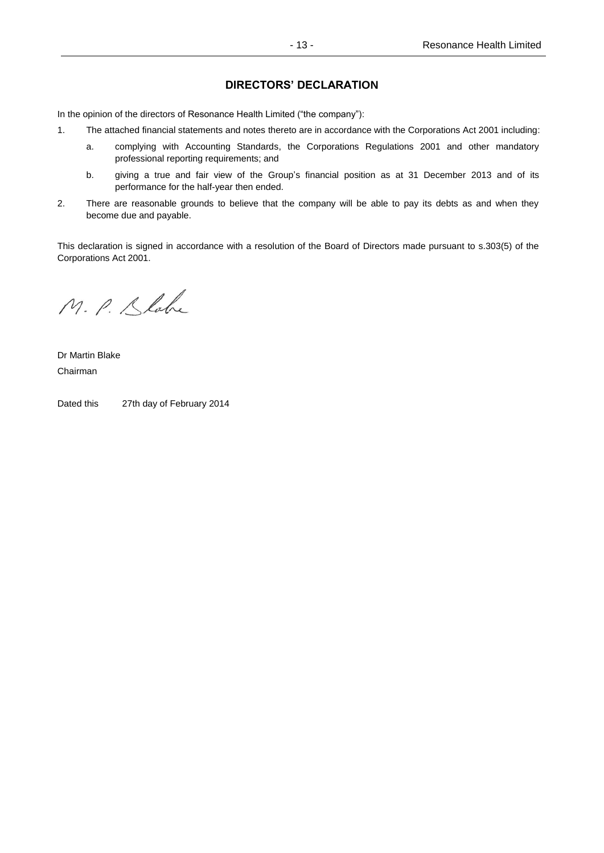### **DIRECTORS' DECLARATION**

In the opinion of the directors of Resonance Health Limited ("the company"):

- 1. The attached financial statements and notes thereto are in accordance with the Corporations Act 2001 including:
	- a. complying with Accounting Standards, the Corporations Regulations 2001 and other mandatory professional reporting requirements; and
	- b. giving a true and fair view of the Group's financial position as at 31 December 2013 and of its performance for the half-year then ended.
- 2. There are reasonable grounds to believe that the company will be able to pay its debts as and when they become due and payable.

This declaration is signed in accordance with a resolution of the Board of Directors made pursuant to s.303(5) of the Corporations Act 2001.

M. P. Slabe

Dr Martin Blake Chairman

Dated this 27th day of February 2014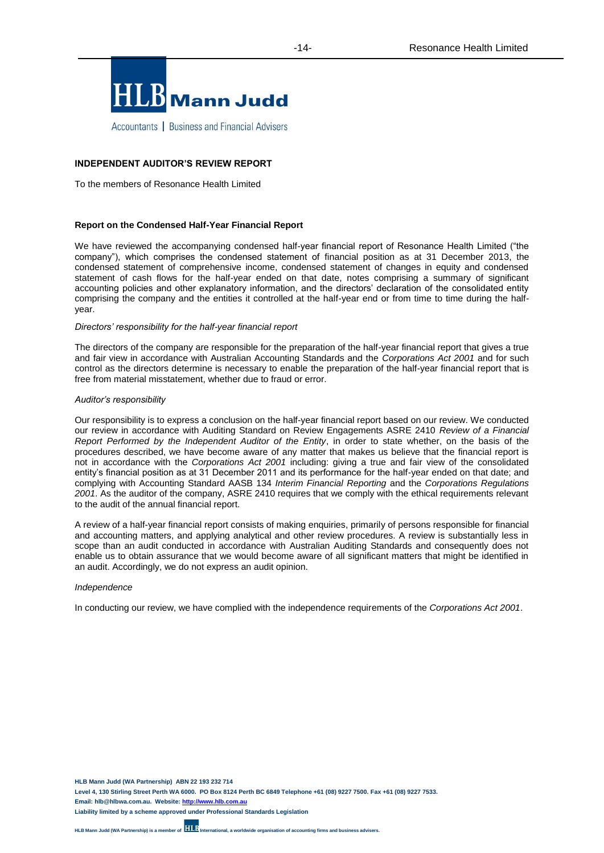

Accountants | Business and Financial Advisers

### **INDEPENDENT AUDITOR'S REVIEW REPORT**

To the members of Resonance Health Limited

#### **Report on the Condensed Half-Year Financial Report**

We have reviewed the accompanying condensed half-year financial report of Resonance Health Limited ("the company"), which comprises the condensed statement of financial position as at 31 December 2013, the condensed statement of comprehensive income, condensed statement of changes in equity and condensed statement of cash flows for the half-year ended on that date, notes comprising a summary of significant accounting policies and other explanatory information, and the directors' declaration of the consolidated entity comprising the company and the entities it controlled at the half-year end or from time to time during the halfyear.

#### *Directors' responsibility for the half-year financial report*

The directors of the company are responsible for the preparation of the half-year financial report that gives a true and fair view in accordance with Australian Accounting Standards and the *Corporations Act 2001* and for such control as the directors determine is necessary to enable the preparation of the half-year financial report that is free from material misstatement, whether due to fraud or error.

#### *Auditor's responsibility*

Our responsibility is to express a conclusion on the half-year financial report based on our review. We conducted our review in accordance with Auditing Standard on Review Engagements ASRE 2410 *Review of a Financial Report Performed by the Independent Auditor of the Entity*, in order to state whether, on the basis of the procedures described, we have become aware of any matter that makes us believe that the financial report is not in accordance with the *Corporations Act 2001* including: giving a true and fair view of the consolidated entity's financial position as at 31 December 2011 and its performance for the half-year ended on that date; and complying with Accounting Standard AASB 134 *Interim Financial Reporting* and the *Corporations Regulations 2001*. As the auditor of the company, ASRE 2410 requires that we comply with the ethical requirements relevant to the audit of the annual financial report.

A review of a half-year financial report consists of making enquiries, primarily of persons responsible for financial and accounting matters, and applying analytical and other review procedures. A review is substantially less in scope than an audit conducted in accordance with Australian Auditing Standards and consequently does not enable us to obtain assurance that we would become aware of all significant matters that might be identified in an audit. Accordingly, we do not express an audit opinion.

#### *Independence*

In conducting our review, we have complied with the independence requirements of the *Corporations Act 2001*.

**HLB Mann Judd (WA Partnership) ABN 22 193 232 714 Level 4, 130 Stirling Street Perth WA 6000. PO Box 8124 Perth BC 6849 Telephone +61 (08) 9227 7500. Fax +61 (08) 9227 7533.**

**Email: hlb@hlbwa.com.au. Website[: http://www.hlb.com.au](http://www.hlb.com.au/)**

**Liability limited by a scheme approved under Professional Standards Legislation**